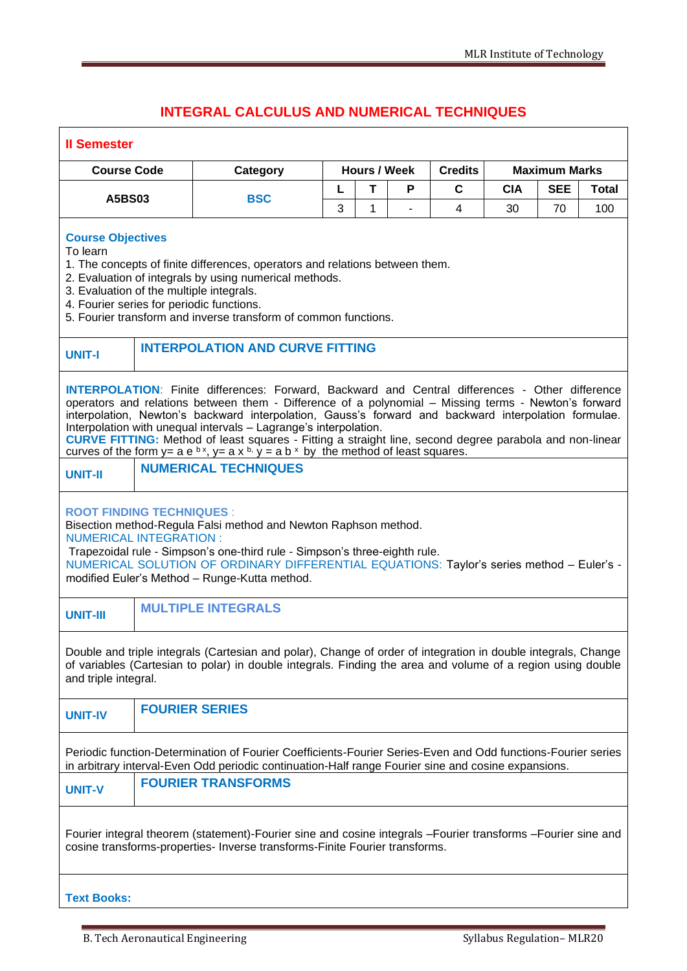## **INTEGRAL CALCULUS AND NUMERICAL TECHNIQUES**

| <b>Il Semester</b>                                                                                                                                                                                                                                                                                                                                                                                                                                                                                                                                                                                     |                                        |                             |                     |              |   |                |            |                      |       |  |
|--------------------------------------------------------------------------------------------------------------------------------------------------------------------------------------------------------------------------------------------------------------------------------------------------------------------------------------------------------------------------------------------------------------------------------------------------------------------------------------------------------------------------------------------------------------------------------------------------------|----------------------------------------|-----------------------------|---------------------|--------------|---|----------------|------------|----------------------|-------|--|
| <b>Course Code</b>                                                                                                                                                                                                                                                                                                                                                                                                                                                                                                                                                                                     |                                        | Category                    | <b>Hours / Week</b> |              |   | <b>Credits</b> |            | <b>Maximum Marks</b> |       |  |
| A5BS03                                                                                                                                                                                                                                                                                                                                                                                                                                                                                                                                                                                                 |                                        | <b>BSC</b>                  | L                   | T            | P | C              | <b>CIA</b> | <b>SEE</b>           | Total |  |
|                                                                                                                                                                                                                                                                                                                                                                                                                                                                                                                                                                                                        |                                        |                             | 3                   | $\mathbf{1}$ |   | 4              | 30         | 70                   | 100   |  |
| <b>Course Objectives</b><br>To learn<br>1. The concepts of finite differences, operators and relations between them.<br>2. Evaluation of integrals by using numerical methods.<br>3. Evaluation of the multiple integrals.<br>4. Fourier series for periodic functions.<br>5. Fourier transform and inverse transform of common functions.                                                                                                                                                                                                                                                             |                                        |                             |                     |              |   |                |            |                      |       |  |
| <b>UNIT-I</b>                                                                                                                                                                                                                                                                                                                                                                                                                                                                                                                                                                                          | <b>INTERPOLATION AND CURVE FITTING</b> |                             |                     |              |   |                |            |                      |       |  |
| <b>INTERPOLATION:</b> Finite differences: Forward, Backward and Central differences - Other difference<br>operators and relations between them - Difference of a polynomial - Missing terms - Newton's forward<br>interpolation, Newton's backward interpolation, Gauss's forward and backward interpolation formulae.<br>Interpolation with unequal intervals - Lagrange's interpolation.<br>CURVE FITTING: Method of least squares - Fitting a straight line, second degree parabola and non-linear<br>curves of the form y= a e $(x, y)$ = a x $(y, y)$ = a b $(x, y)$ the method of least squares. |                                        |                             |                     |              |   |                |            |                      |       |  |
| <b>UNIT-II</b>                                                                                                                                                                                                                                                                                                                                                                                                                                                                                                                                                                                         |                                        | <b>NUMERICAL TECHNIQUES</b> |                     |              |   |                |            |                      |       |  |
| <b>ROOT FINDING TECHNIQUES:</b><br>Bisection method-Regula Falsi method and Newton Raphson method.<br><b>NUMERICAL INTEGRATION:</b><br>Trapezoidal rule - Simpson's one-third rule - Simpson's three-eighth rule.<br>NUMERICAL SOLUTION OF ORDINARY DIFFERENTIAL EQUATIONS: Taylor's series method - Euler's -<br>modified Euler's Method - Runge-Kutta method.                                                                                                                                                                                                                                        |                                        |                             |                     |              |   |                |            |                      |       |  |
| <b>UNIT-III</b>                                                                                                                                                                                                                                                                                                                                                                                                                                                                                                                                                                                        |                                        | <b>MULTIPLE INTEGRALS</b>   |                     |              |   |                |            |                      |       |  |
| Double and triple integrals (Cartesian and polar), Change of order of integration in double integrals, Change<br>of variables (Cartesian to polar) in double integrals. Finding the area and volume of a region using double<br>and triple integral.                                                                                                                                                                                                                                                                                                                                                   |                                        |                             |                     |              |   |                |            |                      |       |  |
| <b>UNIT-IV</b>                                                                                                                                                                                                                                                                                                                                                                                                                                                                                                                                                                                         |                                        | <b>FOURIER SERIES</b>       |                     |              |   |                |            |                      |       |  |
| Periodic function-Determination of Fourier Coefficients-Fourier Series-Even and Odd functions-Fourier series<br>in arbitrary interval-Even Odd periodic continuation-Half range Fourier sine and cosine expansions.                                                                                                                                                                                                                                                                                                                                                                                    |                                        |                             |                     |              |   |                |            |                      |       |  |
| <b>UNIT-V</b>                                                                                                                                                                                                                                                                                                                                                                                                                                                                                                                                                                                          |                                        | <b>FOURIER TRANSFORMS</b>   |                     |              |   |                |            |                      |       |  |
| Fourier integral theorem (statement)-Fourier sine and cosine integrals -Fourier transforms -Fourier sine and<br>cosine transforms-properties- Inverse transforms-Finite Fourier transforms.                                                                                                                                                                                                                                                                                                                                                                                                            |                                        |                             |                     |              |   |                |            |                      |       |  |
| <b>Text Books:</b>                                                                                                                                                                                                                                                                                                                                                                                                                                                                                                                                                                                     |                                        |                             |                     |              |   |                |            |                      |       |  |